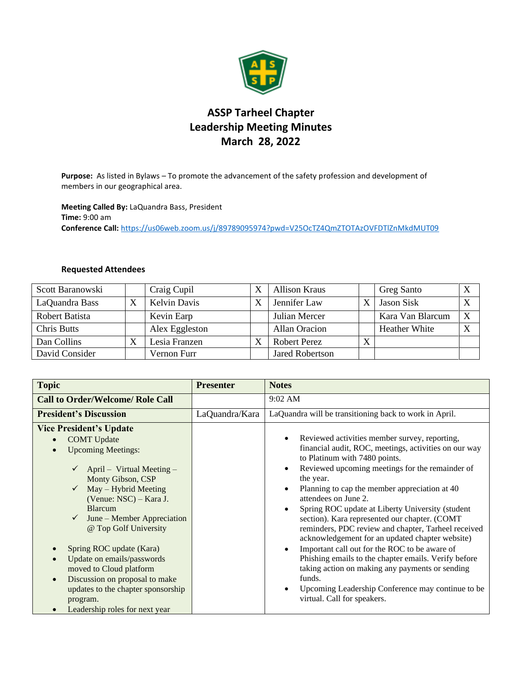

## **ASSP Tarheel Chapter Leadership Meeting Minutes March 28, 2022**

**Purpose:** As listed in Bylaws – To promote the advancement of the safety profession and development of members in our geographical area.

**Meeting Called By:** LaQuandra Bass, President **Time:** 9:00 am **Conference Call:** <https://us06web.zoom.us/j/89789095974?pwd=V25OcTZ4QmZTOTAzOVFDTlZnMkdMUT09>

## **Requested Attendees**

| Scott Baranowski   |    | Craig Cupil         | <b>Allison Kraus</b>   |              | <b>Greg Santo</b>    | X |
|--------------------|----|---------------------|------------------------|--------------|----------------------|---|
| LaQuandra Bass     |    | <b>Kelvin Davis</b> | Jennifer Law           |              | Jason Sisk           | X |
| Robert Batista     |    | Kevin Earp          | Julian Mercer          |              | Kara Van Blarcum     | X |
| <b>Chris Butts</b> |    | Alex Eggleston      | <b>Allan Oracion</b>   |              | <b>Heather White</b> | X |
| Dan Collins        | ٦Z | Lesia Franzen       | <b>Robert Perez</b>    | $\mathbf{v}$ |                      |   |
| David Consider     |    | Vernon Furr         | <b>Jared Robertson</b> |              |                      |   |

| <b>Topic</b>                                                                                                                                                                                                                                                                                                                                                                                                                                                                                                                    | <b>Presenter</b> | <b>Notes</b>                                                                                                                                                                                                                                                                                                                                                                                                                                                                                                                                                                                                                                                                                                                                                                                                                            |  |
|---------------------------------------------------------------------------------------------------------------------------------------------------------------------------------------------------------------------------------------------------------------------------------------------------------------------------------------------------------------------------------------------------------------------------------------------------------------------------------------------------------------------------------|------------------|-----------------------------------------------------------------------------------------------------------------------------------------------------------------------------------------------------------------------------------------------------------------------------------------------------------------------------------------------------------------------------------------------------------------------------------------------------------------------------------------------------------------------------------------------------------------------------------------------------------------------------------------------------------------------------------------------------------------------------------------------------------------------------------------------------------------------------------------|--|
| <b>Call to Order/Welcome/ Role Call</b>                                                                                                                                                                                                                                                                                                                                                                                                                                                                                         |                  | 9:02 AM                                                                                                                                                                                                                                                                                                                                                                                                                                                                                                                                                                                                                                                                                                                                                                                                                                 |  |
| <b>President's Discussion</b>                                                                                                                                                                                                                                                                                                                                                                                                                                                                                                   | LaQuandra/Kara   | LaQuandra will be transitioning back to work in April.                                                                                                                                                                                                                                                                                                                                                                                                                                                                                                                                                                                                                                                                                                                                                                                  |  |
| <b>Vice President's Update</b><br><b>COMT</b> Update<br><b>Upcoming Meetings:</b><br>$\bullet$<br>April – Virtual Meeting –<br>Monty Gibson, CSP<br>$May - Hybrid Meeting$<br>(Venue: NSC) – Kara J.<br><b>Blarcum</b><br>June – Member Appreciation<br>@ Top Golf University<br>Spring ROC update (Kara)<br>$\bullet$<br>Update on emails/passwords<br>$\bullet$<br>moved to Cloud platform<br>Discussion on proposal to make<br>$\bullet$<br>updates to the chapter sponsorship<br>program.<br>Leadership roles for next year |                  | Reviewed activities member survey, reporting,<br>$\bullet$<br>financial audit, ROC, meetings, activities on our way<br>to Platinum with 7480 points.<br>Reviewed upcoming meetings for the remainder of<br>$\bullet$<br>the year.<br>Planning to cap the member appreciation at 40<br>$\bullet$<br>attendees on June 2.<br>Spring ROC update at Liberty University (student<br>$\bullet$<br>section). Kara represented our chapter. (COMT<br>reminders, PDC review and chapter, Tarheel received<br>acknowledgement for an updated chapter website)<br>Important call out for the ROC to be aware of<br>$\bullet$<br>Phishing emails to the chapter emails. Verify before<br>taking action on making any payments or sending<br>funds.<br>Upcoming Leadership Conference may continue to be<br>$\bullet$<br>virtual. Call for speakers. |  |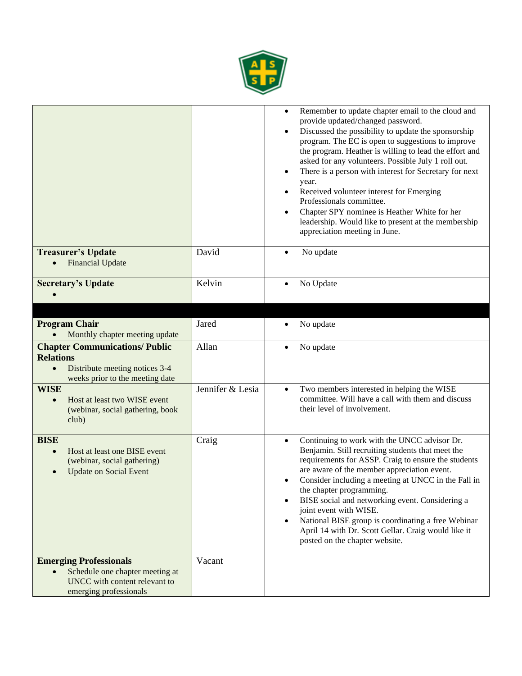

|                                                                                                                                             |                  | Remember to update chapter email to the cloud and<br>$\bullet$<br>provide updated/changed password.<br>Discussed the possibility to update the sponsorship<br>$\bullet$<br>program. The EC is open to suggestions to improve<br>the program. Heather is willing to lead the effort and<br>asked for any volunteers. Possible July 1 roll out.<br>There is a person with interest for Secretary for next<br>$\bullet$<br>year.<br>Received volunteer interest for Emerging<br>$\bullet$<br>Professionals committee.<br>Chapter SPY nominee is Heather White for her<br>$\bullet$<br>leadership. Would like to present at the membership<br>appreciation meeting in June. |
|---------------------------------------------------------------------------------------------------------------------------------------------|------------------|-------------------------------------------------------------------------------------------------------------------------------------------------------------------------------------------------------------------------------------------------------------------------------------------------------------------------------------------------------------------------------------------------------------------------------------------------------------------------------------------------------------------------------------------------------------------------------------------------------------------------------------------------------------------------|
| <b>Treasurer's Update</b><br><b>Financial Update</b>                                                                                        | David            | No update<br>$\bullet$                                                                                                                                                                                                                                                                                                                                                                                                                                                                                                                                                                                                                                                  |
| <b>Secretary's Update</b>                                                                                                                   | Kelvin           | No Update<br>$\bullet$                                                                                                                                                                                                                                                                                                                                                                                                                                                                                                                                                                                                                                                  |
|                                                                                                                                             | Jared            |                                                                                                                                                                                                                                                                                                                                                                                                                                                                                                                                                                                                                                                                         |
| <b>Program Chair</b><br>Monthly chapter meeting update                                                                                      |                  | No update<br>٠                                                                                                                                                                                                                                                                                                                                                                                                                                                                                                                                                                                                                                                          |
| <b>Chapter Communications/ Public</b><br><b>Relations</b><br>Distribute meeting notices 3-4<br>$\bullet$<br>weeks prior to the meeting date | Allan            | No update<br>$\bullet$                                                                                                                                                                                                                                                                                                                                                                                                                                                                                                                                                                                                                                                  |
| <b>WISE</b><br>Host at least two WISE event<br>$\bullet$<br>(webinar, social gathering, book<br>club)                                       | Jennifer & Lesia | Two members interested in helping the WISE<br>$\bullet$<br>committee. Will have a call with them and discuss<br>their level of involvement.                                                                                                                                                                                                                                                                                                                                                                                                                                                                                                                             |
| <b>BISE</b><br>Host at least one BISE event<br>$\bullet$<br>(webinar, social gathering)<br><b>Update on Social Event</b>                    | Craig            | Continuing to work with the UNCC advisor Dr.<br>$\bullet$<br>Benjamin. Still recruiting students that meet the<br>requirements for ASSP. Craig to ensure the students<br>are aware of the member appreciation event.<br>Consider including a meeting at UNCC in the Fall in<br>$\bullet$<br>the chapter programming.<br>BISE social and networking event. Considering a<br>$\bullet$<br>joint event with WISE.<br>National BISE group is coordinating a free Webinar<br>$\bullet$<br>April 14 with Dr. Scott Gellar. Craig would like it<br>posted on the chapter website.                                                                                              |
| <b>Emerging Professionals</b><br>Schedule one chapter meeting at<br>$\bullet$<br>UNCC with content relevant to<br>emerging professionals    | Vacant           |                                                                                                                                                                                                                                                                                                                                                                                                                                                                                                                                                                                                                                                                         |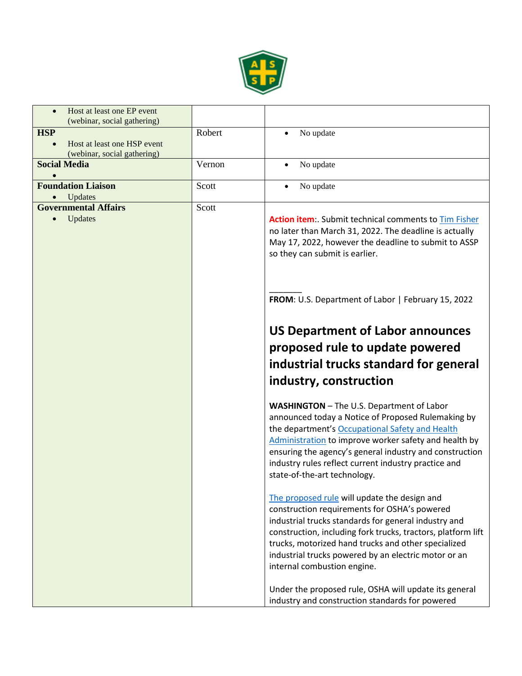

| Host at least one EP event<br>$\bullet$<br>(webinar, social gathering) |        |                                                                                                                                                                                                                                                                                                                                                                       |
|------------------------------------------------------------------------|--------|-----------------------------------------------------------------------------------------------------------------------------------------------------------------------------------------------------------------------------------------------------------------------------------------------------------------------------------------------------------------------|
| <b>HSP</b>                                                             | Robert | No update<br>$\bullet$                                                                                                                                                                                                                                                                                                                                                |
| Host at least one HSP event                                            |        |                                                                                                                                                                                                                                                                                                                                                                       |
| (webinar, social gathering)                                            |        |                                                                                                                                                                                                                                                                                                                                                                       |
| <b>Social Media</b>                                                    | Vernon | No update<br>$\bullet$                                                                                                                                                                                                                                                                                                                                                |
| <b>Foundation Liaison</b><br>Updates                                   | Scott  | No update<br>$\bullet$                                                                                                                                                                                                                                                                                                                                                |
| <b>Governmental Affairs</b>                                            | Scott  |                                                                                                                                                                                                                                                                                                                                                                       |
| Updates                                                                |        | <b>Action item:</b> Submit technical comments to Tim Fisher<br>no later than March 31, 2022. The deadline is actually<br>May 17, 2022, however the deadline to submit to ASSP<br>so they can submit is earlier.                                                                                                                                                       |
|                                                                        |        | FROM: U.S. Department of Labor   February 15, 2022                                                                                                                                                                                                                                                                                                                    |
|                                                                        |        | <b>US Department of Labor announces</b>                                                                                                                                                                                                                                                                                                                               |
|                                                                        |        | proposed rule to update powered                                                                                                                                                                                                                                                                                                                                       |
|                                                                        |        | industrial trucks standard for general                                                                                                                                                                                                                                                                                                                                |
|                                                                        |        | industry, construction                                                                                                                                                                                                                                                                                                                                                |
|                                                                        |        |                                                                                                                                                                                                                                                                                                                                                                       |
|                                                                        |        | <b>WASHINGTON</b> - The U.S. Department of Labor<br>announced today a Notice of Proposed Rulemaking by<br>the department's Occupational Safety and Health<br>Administration to improve worker safety and health by<br>ensuring the agency's general industry and construction<br>industry rules reflect current industry practice and<br>state-of-the-art technology. |
|                                                                        |        | The proposed rule will update the design and<br>construction requirements for OSHA's powered<br>industrial trucks standards for general industry and<br>construction, including fork trucks, tractors, platform lift<br>trucks, motorized hand trucks and other specialized<br>industrial trucks powered by an electric motor or an<br>internal combustion engine.    |
|                                                                        |        | Under the proposed rule, OSHA will update its general<br>industry and construction standards for powered                                                                                                                                                                                                                                                              |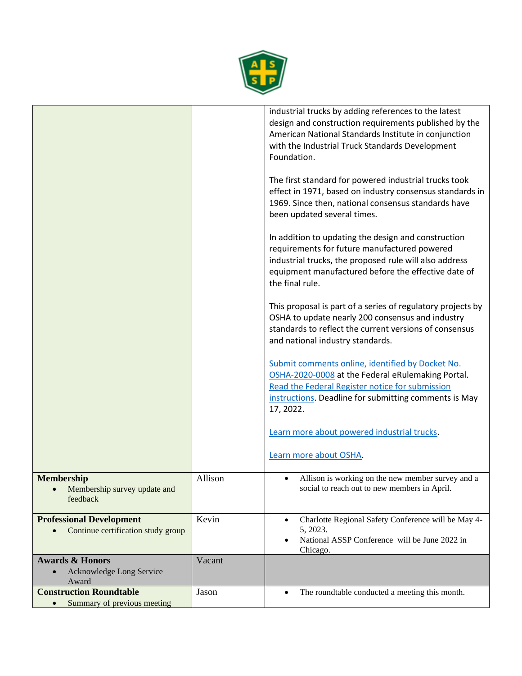

|                                                                                    |         | industrial trucks by adding references to the latest<br>design and construction requirements published by the<br>American National Standards Institute in conjunction<br>with the Industrial Truck Standards Development<br>Foundation.<br>The first standard for powered industrial trucks took<br>effect in 1971, based on industry consensus standards in<br>1969. Since then, national consensus standards have<br>been updated several times.<br>In addition to updating the design and construction<br>requirements for future manufactured powered<br>industrial trucks, the proposed rule will also address<br>equipment manufactured before the effective date of<br>the final rule.<br>This proposal is part of a series of regulatory projects by<br>OSHA to update nearly 200 consensus and industry<br>standards to reflect the current versions of consensus<br>and national industry standards.<br>Submit comments online, identified by Docket No.<br>OSHA-2020-0008 at the Federal eRulemaking Portal.<br>Read the Federal Register notice for submission<br>instructions. Deadline for submitting comments is May<br>17, 2022. |
|------------------------------------------------------------------------------------|---------|--------------------------------------------------------------------------------------------------------------------------------------------------------------------------------------------------------------------------------------------------------------------------------------------------------------------------------------------------------------------------------------------------------------------------------------------------------------------------------------------------------------------------------------------------------------------------------------------------------------------------------------------------------------------------------------------------------------------------------------------------------------------------------------------------------------------------------------------------------------------------------------------------------------------------------------------------------------------------------------------------------------------------------------------------------------------------------------------------------------------------------------------------|
|                                                                                    |         | Learn more about powered industrial trucks.                                                                                                                                                                                                                                                                                                                                                                                                                                                                                                                                                                                                                                                                                                                                                                                                                                                                                                                                                                                                                                                                                                      |
|                                                                                    |         | Learn more about OSHA.                                                                                                                                                                                                                                                                                                                                                                                                                                                                                                                                                                                                                                                                                                                                                                                                                                                                                                                                                                                                                                                                                                                           |
| <b>Membership</b><br>Membership survey update and<br>$\bullet$<br>feedback         | Allison | Allison is working on the new member survey and a<br>$\bullet$<br>social to reach out to new members in April.                                                                                                                                                                                                                                                                                                                                                                                                                                                                                                                                                                                                                                                                                                                                                                                                                                                                                                                                                                                                                                   |
| <b>Professional Development</b><br>Continue certification study group<br>$\bullet$ | Kevin   | Charlotte Regional Safety Conference will be May 4-<br>$\bullet$<br>5, 2023.<br>National ASSP Conference will be June 2022 in<br>$\bullet$<br>Chicago.                                                                                                                                                                                                                                                                                                                                                                                                                                                                                                                                                                                                                                                                                                                                                                                                                                                                                                                                                                                           |
| <b>Awards &amp; Honors</b><br>Acknowledge Long Service<br>Award                    | Vacant  |                                                                                                                                                                                                                                                                                                                                                                                                                                                                                                                                                                                                                                                                                                                                                                                                                                                                                                                                                                                                                                                                                                                                                  |
| <b>Construction Roundtable</b><br>Summary of previous meeting<br>$\bullet$         | Jason   | The roundtable conducted a meeting this month.<br>$\bullet$                                                                                                                                                                                                                                                                                                                                                                                                                                                                                                                                                                                                                                                                                                                                                                                                                                                                                                                                                                                                                                                                                      |